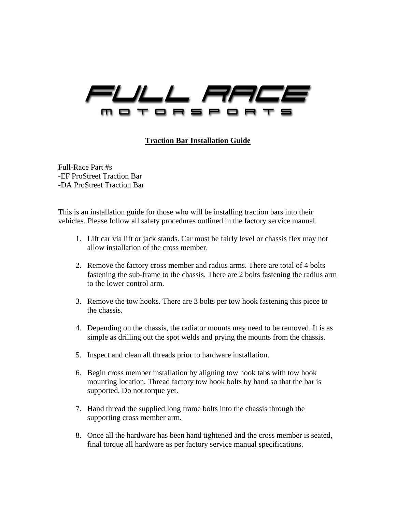

## **Traction Bar Installation Guide**

Full-Race Part #s -EF ProStreet Traction Bar -DA ProStreet Traction Bar

This is an installation guide for those who will be installing traction bars into their vehicles. Please follow all safety procedures outlined in the factory service manual.

- 1. Lift car via lift or jack stands. Car must be fairly level or chassis flex may not allow installation of the cross member.
- 2. Remove the factory cross member and radius arms. There are total of 4 bolts fastening the sub-frame to the chassis. There are 2 bolts fastening the radius arm to the lower control arm.
- 3. Remove the tow hooks. There are 3 bolts per tow hook fastening this piece to the chassis.
- 4. Depending on the chassis, the radiator mounts may need to be removed. It is as simple as drilling out the spot welds and prying the mounts from the chassis.
- 5. Inspect and clean all threads prior to hardware installation.
- 6. Begin cross member installation by aligning tow hook tabs with tow hook mounting location. Thread factory tow hook bolts by hand so that the bar is supported. Do not torque yet.
- 7. Hand thread the supplied long frame bolts into the chassis through the supporting cross member arm.
- 8. Once all the hardware has been hand tightened and the cross member is seated, final torque all hardware as per factory service manual specifications.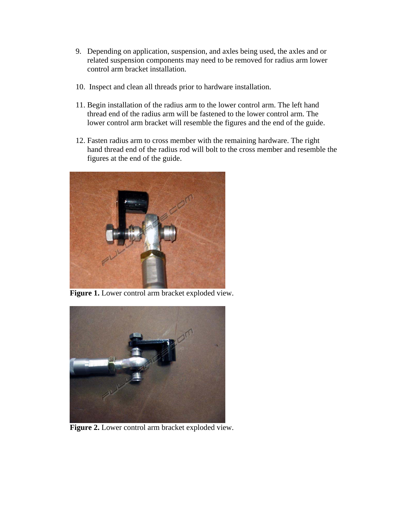- 9. Depending on application, suspension, and axles being used, the axles and or related suspension components may need to be removed for radius arm lower control arm bracket installation.
- 10. Inspect and clean all threads prior to hardware installation.
- 11. Begin installation of the radius arm to the lower control arm. The left hand thread end of the radius arm will be fastened to the lower control arm. The lower control arm bracket will resemble the figures and the end of the guide.
- 12. Fasten radius arm to cross member with the remaining hardware. The right hand thread end of the radius rod will bolt to the cross member and resemble the figures at the end of the guide.



**Figure 1.** Lower control arm bracket exploded view.



**Figure 2.** Lower control arm bracket exploded view.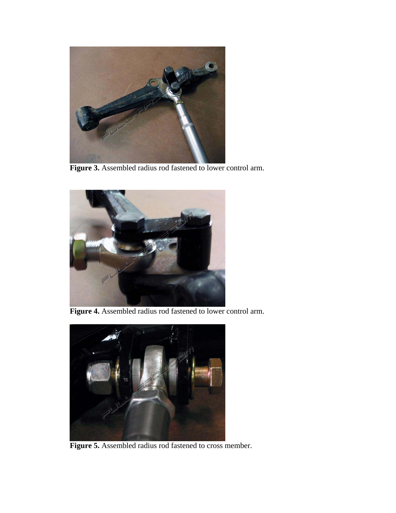

**Figure 3.** Assembled radius rod fastened to lower control arm.



**Figure 4.** Assembled radius rod fastened to lower control arm.



**Figure 5.** Assembled radius rod fastened to cross member.